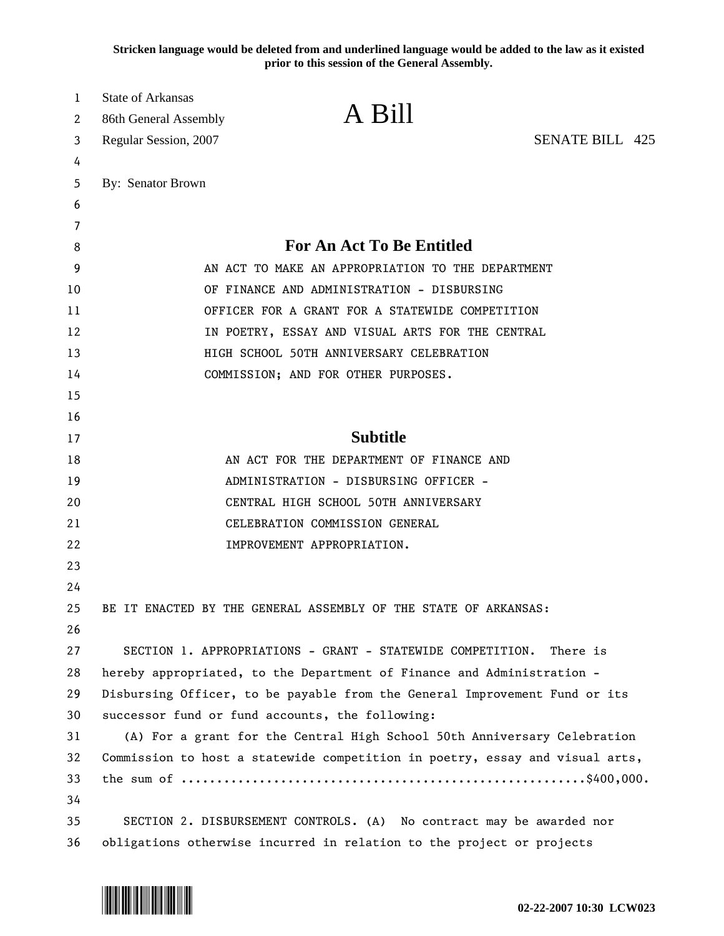**Stricken language would be deleted from and underlined language would be added to the law as it existed prior to this session of the General Assembly.**

| $\mathbf{1}$<br>2 | <b>State of Arkansas</b><br>86th General Assembly | A Bill                                                                       |  |
|-------------------|---------------------------------------------------|------------------------------------------------------------------------------|--|
| 3                 | Regular Session, 2007                             | <b>SENATE BILL 425</b>                                                       |  |
| 4                 |                                                   |                                                                              |  |
| 5                 | By: Senator Brown                                 |                                                                              |  |
| 6                 |                                                   |                                                                              |  |
| 7                 |                                                   |                                                                              |  |
| 8                 |                                                   | <b>For An Act To Be Entitled</b>                                             |  |
| 9                 |                                                   | AN ACT TO MAKE AN APPROPRIATION TO THE DEPARTMENT                            |  |
| 10                |                                                   | OF FINANCE AND ADMINISTRATION - DISBURSING                                   |  |
| 11                |                                                   | OFFICER FOR A GRANT FOR A STATEWIDE COMPETITION                              |  |
| 12                |                                                   | IN POETRY, ESSAY AND VISUAL ARTS FOR THE CENTRAL                             |  |
| 13                |                                                   | HIGH SCHOOL 50TH ANNIVERSARY CELEBRATION                                     |  |
| 14                |                                                   | COMMISSION; AND FOR OTHER PURPOSES.                                          |  |
| 15                |                                                   |                                                                              |  |
| 16                |                                                   |                                                                              |  |
| 17                |                                                   | <b>Subtitle</b>                                                              |  |
| 18                |                                                   | AN ACT FOR THE DEPARTMENT OF FINANCE AND                                     |  |
| 19                |                                                   | ADMINISTRATION - DISBURSING OFFICER -                                        |  |
| 20                |                                                   | CENTRAL HIGH SCHOOL 50TH ANNIVERSARY                                         |  |
| 21                |                                                   | CELEBRATION COMMISSION GENERAL                                               |  |
| 22                |                                                   | IMPROVEMENT APPROPRIATION.                                                   |  |
| 23                |                                                   |                                                                              |  |
| 24                |                                                   |                                                                              |  |
| 25                |                                                   | BE IT ENACTED BY THE GENERAL ASSEMBLY OF THE STATE OF ARKANSAS:              |  |
| 26                |                                                   |                                                                              |  |
| 27                |                                                   | SECTION 1. APPROPRIATIONS - GRANT - STATEWIDE COMPETITION.<br>There is       |  |
| 28                |                                                   | hereby appropriated, to the Department of Finance and Administration -       |  |
| 29                |                                                   | Disbursing Officer, to be payable from the General Improvement Fund or its   |  |
| 30                |                                                   | successor fund or fund accounts, the following:                              |  |
| 31                |                                                   | (A) For a grant for the Central High School 50th Anniversary Celebration     |  |
| 32                |                                                   | Commission to host a statewide competition in poetry, essay and visual arts, |  |
| 33                |                                                   |                                                                              |  |
| 34<br>35          |                                                   |                                                                              |  |
|                   |                                                   | SECTION 2. DISBURSEMENT CONTROLS. (A) No contract may be awarded nor         |  |

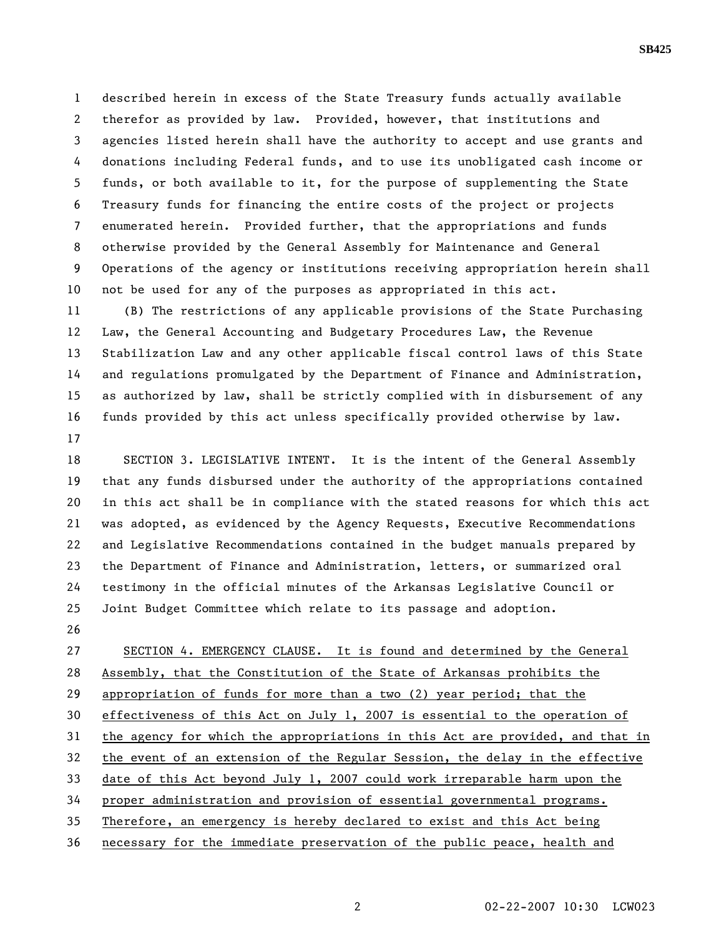1 described herein in excess of the State Treasury funds actually available 2 therefor as provided by law. Provided, however, that institutions and 3 agencies listed herein shall have the authority to accept and use grants and 4 donations including Federal funds, and to use its unobligated cash income or 5 funds, or both available to it, for the purpose of supplementing the State 6 Treasury funds for financing the entire costs of the project or projects 7 enumerated herein. Provided further, that the appropriations and funds 8 otherwise provided by the General Assembly for Maintenance and General 9 Operations of the agency or institutions receiving appropriation herein shall 10 not be used for any of the purposes as appropriated in this act.

11 (B) The restrictions of any applicable provisions of the State Purchasing 12 Law, the General Accounting and Budgetary Procedures Law, the Revenue 13 Stabilization Law and any other applicable fiscal control laws of this State 14 and regulations promulgated by the Department of Finance and Administration, 15 as authorized by law, shall be strictly complied with in disbursement of any 16 funds provided by this act unless specifically provided otherwise by law. 17

18 SECTION 3. LEGISLATIVE INTENT. It is the intent of the General Assembly 19 that any funds disbursed under the authority of the appropriations contained 20 in this act shall be in compliance with the stated reasons for which this act 21 was adopted, as evidenced by the Agency Requests, Executive Recommendations 22 and Legislative Recommendations contained in the budget manuals prepared by 23 the Department of Finance and Administration, letters, or summarized oral 24 testimony in the official minutes of the Arkansas Legislative Council or 25 Joint Budget Committee which relate to its passage and adoption.

26

27 SECTION 4. EMERGENCY CLAUSE. It is found and determined by the General 28 Assembly, that the Constitution of the State of Arkansas prohibits the 29 appropriation of funds for more than a two (2) year period; that the 30 effectiveness of this Act on July 1, 2007 is essential to the operation of 31 the agency for which the appropriations in this Act are provided, and that in 32 the event of an extension of the Regular Session, the delay in the effective 33 date of this Act beyond July 1, 2007 could work irreparable harm upon the 34 proper administration and provision of essential governmental programs. 35 Therefore, an emergency is hereby declared to exist and this Act being 36 necessary for the immediate preservation of the public peace, health and